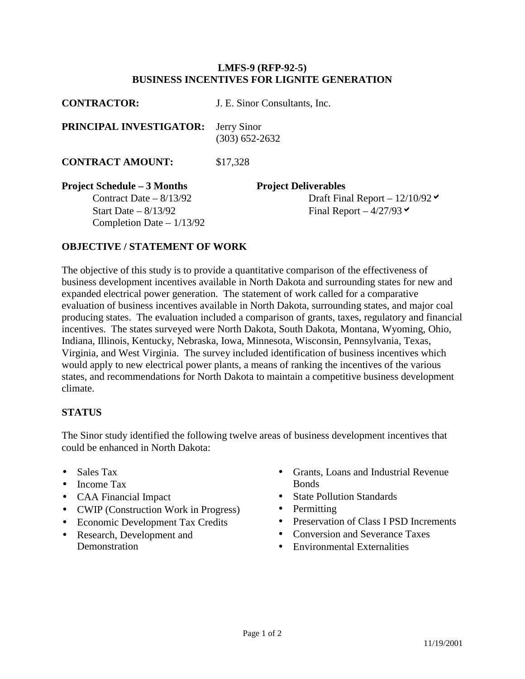## **LMFS-9 (RFP-92-5) BUSINESS INCENTIVES FOR LIGNITE GENERATION**

| <b>CONTRACTOR:</b>                                                                                                    | J. E. Sinor Consultants, Inc.                                                                    |
|-----------------------------------------------------------------------------------------------------------------------|--------------------------------------------------------------------------------------------------|
| PRINCIPAL INVESTIGATOR:                                                                                               | Jerry Sinor<br>$(303) 652 - 2632$                                                                |
| <b>CONTRACT AMOUNT:</b>                                                                                               | \$17,328                                                                                         |
| <b>Project Schedule – 3 Months</b><br>Contract Date $-8/13/92$<br>Start Date $-8/13/92$<br>Completion Date $-1/13/92$ | <b>Project Deliverables</b><br>Draft Final Report – $12/10/92 \times$<br>Final Report $-4/27/93$ |

## **OBJECTIVE / STATEMENT OF WORK**

The objective of this study is to provide a quantitative comparison of the effectiveness of business development incentives available in North Dakota and surrounding states for new and expanded electrical power generation. The statement of work called for a comparative evaluation of business incentives available in North Dakota, surrounding states, and major coal producing states. The evaluation included a comparison of grants, taxes, regulatory and financial incentives. The states surveyed were North Dakota, South Dakota, Montana, Wyoming, Ohio, Indiana, Illinois, Kentucky, Nebraska, Iowa, Minnesota, Wisconsin, Pennsylvania, Texas, Virginia, and West Virginia. The survey included identification of business incentives which would apply to new electrical power plants, a means of ranking the incentives of the various states, and recommendations for North Dakota to maintain a competitive business development climate.

## **STATUS**

The Sinor study identified the following twelve areas of business development incentives that could be enhanced in North Dakota:

- Sales Tax
- Income Tax
- CAA Financial Impact
- CWIP (Construction Work in Progress)
- Economic Development Tax Credits
- Research, Development and **Demonstration**
- Grants, Loans and Industrial Revenue **Bonds**
- State Pollution Standards
- Permitting
- Preservation of Class I PSD Increments
- Conversion and Severance Taxes
- Environmental Externalities